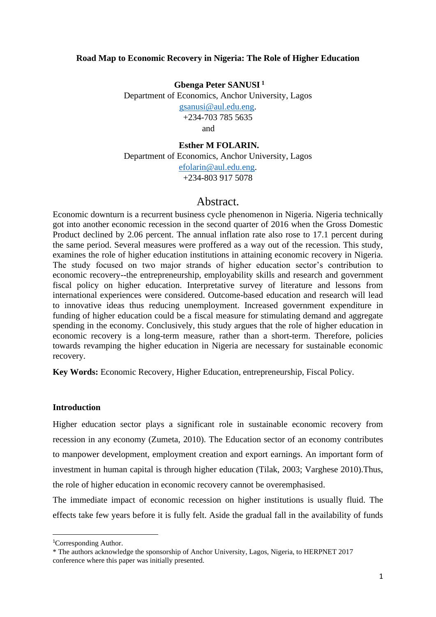# **Road Map to Economic Recovery in Nigeria: The Role of Higher Education**

**Gbenga Peter SANUSI <sup>1</sup>** Department of Economics, Anchor University, Lagos [gsanusi@aul.edu.eng.](mailto:gsanusi@aul.edu.eng) +234-703 785 5635 and

# **Esther M FOLARIN.**

Department of Economics, Anchor University, Lagos [efolarin@aul.edu.eng.](mailto:efolarin@aul.edu.eng) +234-803 917 5078

# Abstract.

Economic downturn is a recurrent business cycle phenomenon in Nigeria. Nigeria technically got into another economic recession in the second quarter of 2016 when the Gross Domestic Product declined by 2.06 percent. The annual inflation rate also rose to 17.1 percent during the same period. Several measures were proffered as a way out of the recession. This study, examines the role of higher education institutions in attaining economic recovery in Nigeria. The study focused on two major strands of higher education sector's contribution to economic recovery--the entrepreneurship, employability skills and research and government fiscal policy on higher education. Interpretative survey of literature and lessons from international experiences were considered. Outcome-based education and research will lead to innovative ideas thus reducing unemployment. Increased government expenditure in funding of higher education could be a fiscal measure for stimulating demand and aggregate spending in the economy. Conclusively, this study argues that the role of higher education in economic recovery is a long-term measure, rather than a short-term. Therefore, policies towards revamping the higher education in Nigeria are necessary for sustainable economic recovery.

**Key Words:** Economic Recovery, Higher Education, entrepreneurship, Fiscal Policy.

#### **Introduction**

Higher education sector plays a significant role in sustainable economic recovery from recession in any economy (Zumeta, 2010). The Education sector of an economy contributes to manpower development, employment creation and export earnings. An important form of investment in human capital is through higher education (Tilak, 2003; Varghese 2010).Thus, the role of higher education in economic recovery cannot be overemphasised.

The immediate impact of economic recession on higher institutions is usually fluid. The effects take few years before it is fully felt. Aside the gradual fall in the availability of funds

<sup>1</sup>Corresponding Author.

<sup>\*</sup> The authors acknowledge the sponsorship of Anchor University, Lagos, Nigeria, to HERPNET 2017 conference where this paper was initially presented.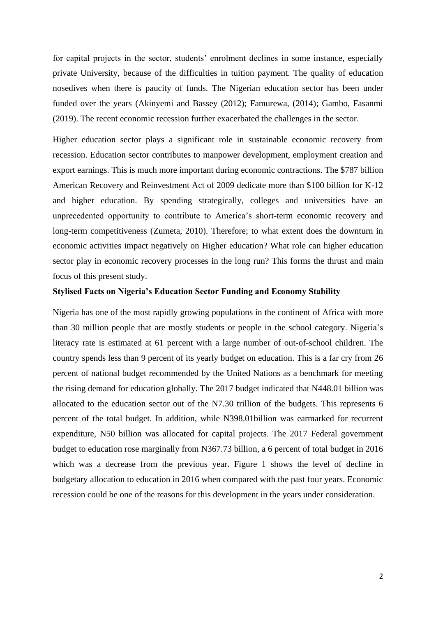for capital projects in the sector, students' enrolment declines in some instance, especially private University, because of the difficulties in tuition payment. The quality of education nosedives when there is paucity of funds. The Nigerian education sector has been under funded over the years (Akinyemi and Bassey (2012); Famurewa, (2014); Gambo, Fasanmi (2019). The recent economic recession further exacerbated the challenges in the sector.

Higher education sector plays a significant role in sustainable economic recovery from recession. Education sector contributes to manpower development, employment creation and export earnings. This is much more important during economic contractions. The \$787 billion American Recovery and Reinvestment Act of 2009 dedicate more than \$100 billion for K-12 and higher education. By spending strategically, colleges and universities have an unprecedented opportunity to contribute to America's short-term economic recovery and long-term competitiveness (Zumeta, 2010). Therefore; to what extent does the downturn in economic activities impact negatively on Higher education? What role can higher education sector play in economic recovery processes in the long run? This forms the thrust and main focus of this present study.

#### **Stylised Facts on Nigeria's Education Sector Funding and Economy Stability**

Nigeria has one of the most rapidly growing populations in the continent of Africa with more than 30 million people that are mostly students or people in the school category. Nigeria's literacy rate is estimated at 61 percent with a large number of out-of-school children. The country spends less than 9 percent of its yearly budget on education. This is a far cry from 26 percent of national budget recommended by the United Nations as a benchmark for meeting the rising demand for education globally. The 2017 budget indicated that N448.01 billion was allocated to the education sector out of the N7.30 trillion of the budgets. This represents 6 percent of the total budget. In addition, while N398.01billion was earmarked for recurrent expenditure, N50 billion was allocated for capital projects. The 2017 Federal government budget to education rose marginally from N367.73 billion, a 6 percent of total budget in 2016 which was a decrease from the previous year. Figure 1 shows the level of decline in budgetary allocation to education in 2016 when compared with the past four years. Economic recession could be one of the reasons for this development in the years under consideration.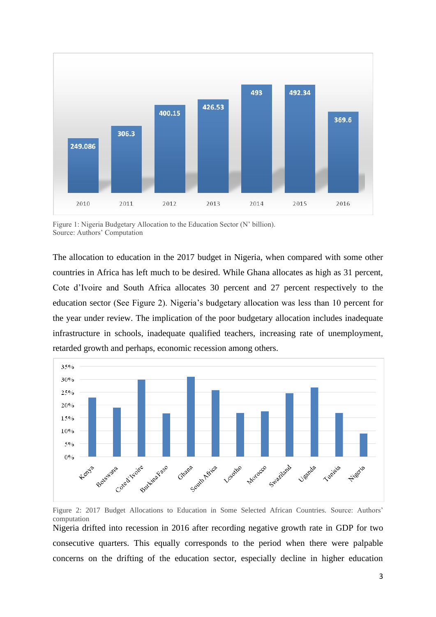

Figure 1: Nigeria Budgetary Allocation to the Education Sector (N' billion). Source: Authors' Computation

The allocation to education in the 2017 budget in Nigeria, when compared with some other countries in Africa has left much to be desired. While Ghana allocates as high as 31 percent, Cote d'Ivoire and South Africa allocates 30 percent and 27 percent respectively to the education sector (See Figure 2). Nigeria's budgetary allocation was less than 10 percent for the year under review. The implication of the poor budgetary allocation includes inadequate infrastructure in schools, inadequate qualified teachers, increasing rate of unemployment, retarded growth and perhaps, economic recession among others.



Figure 2: 2017 Budget Allocations to Education in Some Selected African Countries. Source: Authors' computation

Nigeria drifted into recession in 2016 after recording negative growth rate in GDP for two consecutive quarters. This equally corresponds to the period when there were palpable concerns on the drifting of the education sector, especially decline in higher education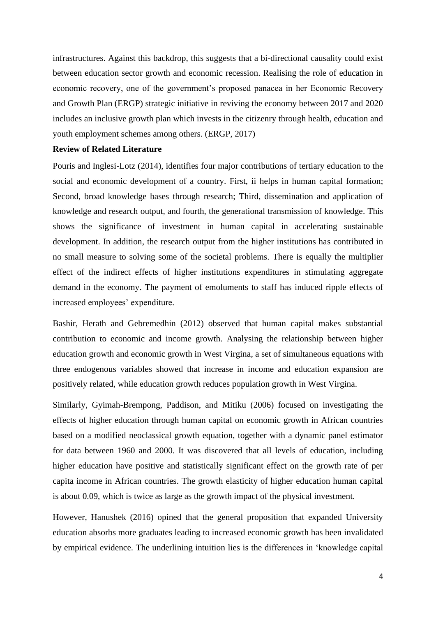infrastructures. Against this backdrop, this suggests that a bi-directional causality could exist between education sector growth and economic recession. Realising the role of education in economic recovery, one of the government's proposed panacea in her Economic Recovery and Growth Plan (ERGP) strategic initiative in reviving the economy between 2017 and 2020 includes an inclusive growth plan which invests in the citizenry through health, education and youth employment schemes among others. (ERGP, 2017)

# **Review of Related Literature**

Pouris and Inglesi-Lotz (2014), identifies four major contributions of tertiary education to the social and economic development of a country. First, ii helps in human capital formation; Second, broad knowledge bases through research; Third, dissemination and application of knowledge and research output, and fourth, the generational transmission of knowledge. This shows the significance of investment in human capital in accelerating sustainable development. In addition, the research output from the higher institutions has contributed in no small measure to solving some of the societal problems. There is equally the multiplier effect of the indirect effects of higher institutions expenditures in stimulating aggregate demand in the economy. The payment of emoluments to staff has induced ripple effects of increased employees' expenditure.

Bashir, Herath and Gebremedhin (2012) observed that human capital makes substantial contribution to economic and income growth. Analysing the relationship between higher education growth and economic growth in West Virgina, a set of simultaneous equations with three endogenous variables showed that increase in income and education expansion are positively related, while education growth reduces population growth in West Virgina.

Similarly, Gyimah-Brempong, Paddison, and Mitiku (2006) focused on investigating the effects of higher education through human capital on economic growth in African countries based on a modified neoclassical growth equation, together with a dynamic panel estimator for data between 1960 and 2000. It was discovered that all levels of education, including higher education have positive and statistically significant effect on the growth rate of per capita income in African countries. The growth elasticity of higher education human capital is about 0.09, which is twice as large as the growth impact of the physical investment.

However, Hanushek (2016) opined that the general proposition that expanded University education absorbs more graduates leading to increased economic growth has been invalidated by empirical evidence. The underlining intuition lies is the differences in 'knowledge capital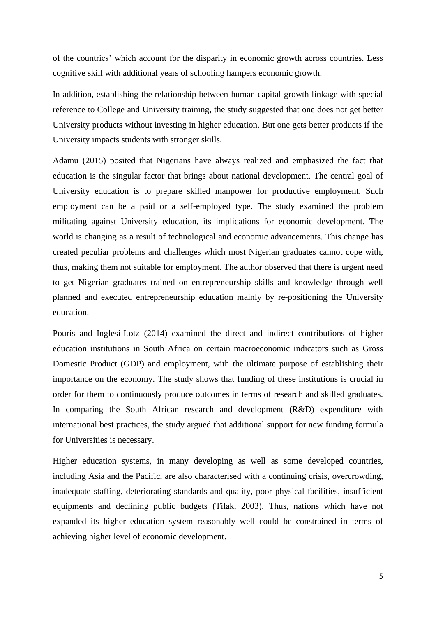of the countries' which account for the disparity in economic growth across countries. Less cognitive skill with additional years of schooling hampers economic growth.

In addition, establishing the relationship between human capital-growth linkage with special reference to College and University training, the study suggested that one does not get better University products without investing in higher education. But one gets better products if the University impacts students with stronger skills.

Adamu (2015) posited that Nigerians have always realized and emphasized the fact that education is the singular factor that brings about national development. The central goal of University education is to prepare skilled manpower for productive employment. Such employment can be a paid or a self-employed type. The study examined the problem militating against University education, its implications for economic development. The world is changing as a result of technological and economic advancements. This change has created peculiar problems and challenges which most Nigerian graduates cannot cope with, thus, making them not suitable for employment. The author observed that there is urgent need to get Nigerian graduates trained on entrepreneurship skills and knowledge through well planned and executed entrepreneurship education mainly by re-positioning the University education.

Pouris and Inglesi-Lotz (2014) examined the direct and indirect contributions of higher education institutions in South Africa on certain macroeconomic indicators such as Gross Domestic Product (GDP) and employment, with the ultimate purpose of establishing their importance on the economy. The study shows that funding of these institutions is crucial in order for them to continuously produce outcomes in terms of research and skilled graduates. In comparing the South African research and development (R&D) expenditure with international best practices, the study argued that additional support for new funding formula for Universities is necessary.

Higher education systems, in many developing as well as some developed countries, including Asia and the Pacific, are also characterised with a continuing crisis, overcrowding, inadequate staffing, deteriorating standards and quality, poor physical facilities, insufficient equipments and declining public budgets (Tilak, 2003). Thus, nations which have not expanded its higher education system reasonably well could be constrained in terms of achieving higher level of economic development.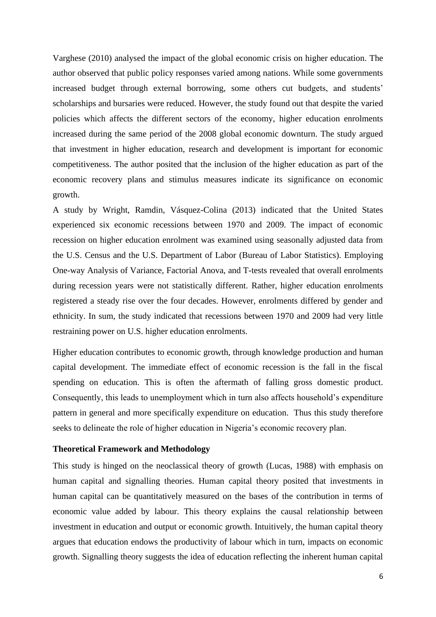Varghese (2010) analysed the impact of the global economic crisis on higher education. The author observed that public policy responses varied among nations. While some governments increased budget through external borrowing, some others cut budgets, and students' scholarships and bursaries were reduced. However, the study found out that despite the varied policies which affects the different sectors of the economy, higher education enrolments increased during the same period of the 2008 global economic downturn. The study argued that investment in higher education, research and development is important for economic competitiveness. The author posited that the inclusion of the higher education as part of the economic recovery plans and stimulus measures indicate its significance on economic growth.

A study by Wright, Ramdin, Vásquez-Colina (2013) indicated that the United States experienced six economic recessions between 1970 and 2009. The impact of economic recession on higher education enrolment was examined using seasonally adjusted data from the U.S. Census and the U.S. Department of Labor (Bureau of Labor Statistics). Employing One-way Analysis of Variance, Factorial Anova, and T-tests revealed that overall enrolments during recession years were not statistically different. Rather, higher education enrolments registered a steady rise over the four decades. However, enrolments differed by gender and ethnicity. In sum, the study indicated that recessions between 1970 and 2009 had very little restraining power on U.S. higher education enrolments.

Higher education contributes to economic growth, through knowledge production and human capital development. The immediate effect of economic recession is the fall in the fiscal spending on education. This is often the aftermath of falling gross domestic product. Consequently, this leads to unemployment which in turn also affects household's expenditure pattern in general and more specifically expenditure on education. Thus this study therefore seeks to delineate the role of higher education in Nigeria's economic recovery plan.

### **Theoretical Framework and Methodology**

This study is hinged on the neoclassical theory of growth (Lucas, 1988) with emphasis on human capital and signalling theories. Human capital theory posited that investments in human capital can be quantitatively measured on the bases of the contribution in terms of economic value added by labour. This theory explains the causal relationship between investment in education and output or economic growth. Intuitively, the human capital theory argues that education endows the productivity of labour which in turn, impacts on economic growth. Signalling theory suggests the idea of education reflecting the inherent human capital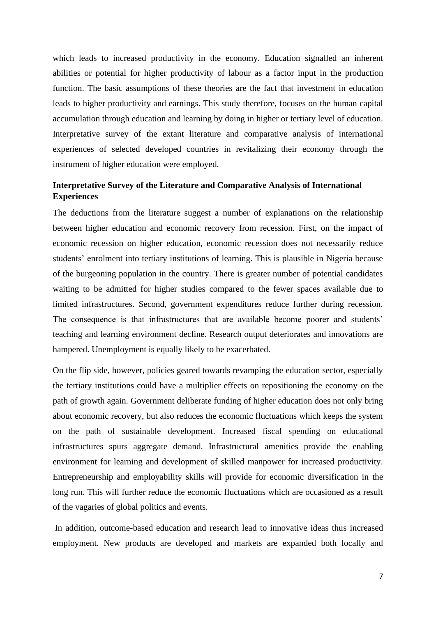which leads to increased productivity in the economy. Education signalled an inherent abilities or potential for higher productivity of labour as a factor input in the production function. The basic assumptions of these theories are the fact that investment in education leads to higher productivity and earnings. This study therefore, focuses on the human capital accumulation through education and learning by doing in higher or tertiary level of education. Interpretative survey of the extant literature and comparative analysis of international experiences of selected developed countries in revitalizing their economy through the instrument of higher education were employed.

# **Interpretative Survey of the Literature and Comparative Analysis of International Experiences**

The deductions from the literature suggest a number of explanations on the relationship between higher education and economic recovery from recession. First, on the impact of economic recession on higher education, economic recession does not necessarily reduce students' enrolment into tertiary institutions of learning. This is plausible in Nigeria because of the burgeoning population in the country. There is greater number of potential candidates waiting to be admitted for higher studies compared to the fewer spaces available due to limited infrastructures. Second, government expenditures reduce further during recession. The consequence is that infrastructures that are available become poorer and students' teaching and learning environment decline. Research output deteriorates and innovations are hampered. Unemployment is equally likely to be exacerbated.

On the flip side, however, policies geared towards revamping the education sector, especially the tertiary institutions could have a multiplier effects on repositioning the economy on the path of growth again. Government deliberate funding of higher education does not only bring about economic recovery, but also reduces the economic fluctuations which keeps the system on the path of sustainable development. Increased fiscal spending on educational infrastructures spurs aggregate demand. Infrastructural amenities provide the enabling environment for learning and development of skilled manpower for increased productivity. Entrepreneurship and employability skills will provide for economic diversification in the long run. This will further reduce the economic fluctuations which are occasioned as a result of the vagaries of global politics and events.

In addition, outcome-based education and research lead to innovative ideas thus increased employment. New products are developed and markets are expanded both locally and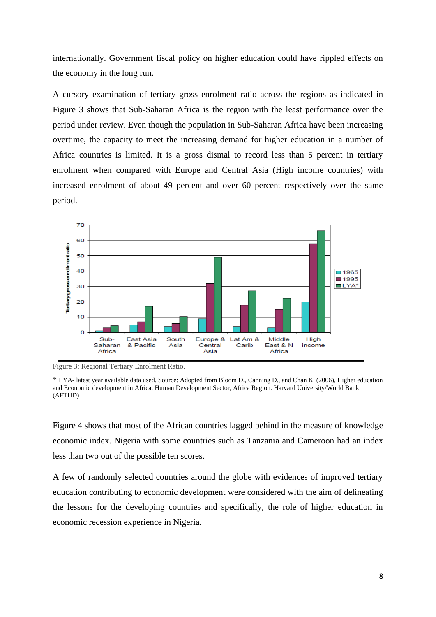internationally. Government fiscal policy on higher education could have rippled effects on the economy in the long run.

A cursory examination of tertiary gross enrolment ratio across the regions as indicated in Figure 3 shows that Sub-Saharan Africa is the region with the least performance over the period under review. Even though the population in Sub-Saharan Africa have been increasing overtime, the capacity to meet the increasing demand for higher education in a number of Africa countries is limited. It is a gross dismal to record less than 5 percent in tertiary enrolment when compared with Europe and Central Asia (High income countries) with increased enrolment of about 49 percent and over 60 percent respectively over the same period.



Figure 3: Regional Tertiary Enrolment Ratio.

Figure 4 shows that most of the African countries lagged behind in the measure of knowledge economic index. Nigeria with some countries such as Tanzania and Cameroon had an index less than two out of the possible ten scores.

A few of randomly selected countries around the globe with evidences of improved tertiary education contributing to economic development were considered with the aim of delineating the lessons for the developing countries and specifically, the role of higher education in economic recession experience in Nigeria.

<sup>\*</sup> LYA- latest year available data used. Source: Adopted from Bloom D., Canning D., and Chan K. (2006), Higher education and Economic development in Africa. Human Development Sector, Africa Region. Harvard University/World Bank (AFTHD)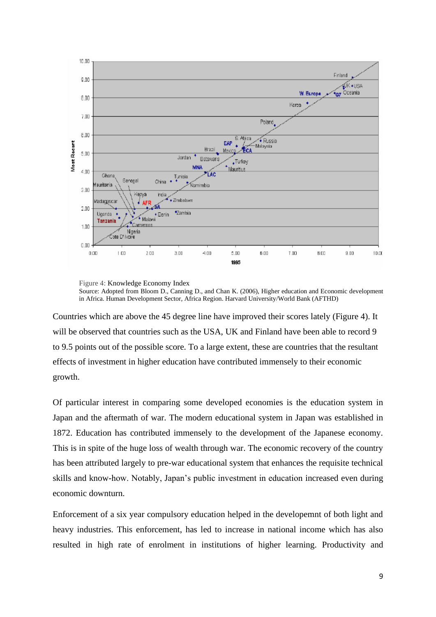

Figure 4: Knowledge Economy Index Source: Adopted from Bloom D., Canning D., and Chan K. (2006), Higher education and Economic development in Africa. Human Development Sector, Africa Region. Harvard University/World Bank (AFTHD)

Countries which are above the 45 degree line have improved their scores lately (Figure 4). It will be observed that countries such as the USA, UK and Finland have been able to record 9 to 9.5 points out of the possible score. To a large extent, these are countries that the resultant effects of investment in higher education have contributed immensely to their economic growth.

Of particular interest in comparing some developed economies is the education system in Japan and the aftermath of war. The modern educational system in Japan was established in 1872. Education has contributed immensely to the development of the Japanese economy. This is in spite of the huge loss of wealth through war. The economic recovery of the country has been attributed largely to pre-war educational system that enhances the requisite technical skills and know-how. Notably, Japan's public investment in education increased even during economic downturn.

Enforcement of a six year compulsory education helped in the developemnt of both light and heavy industries. This enforcement, has led to increase in national income which has also resulted in high rate of enrolment in institutions of higher learning. Productivity and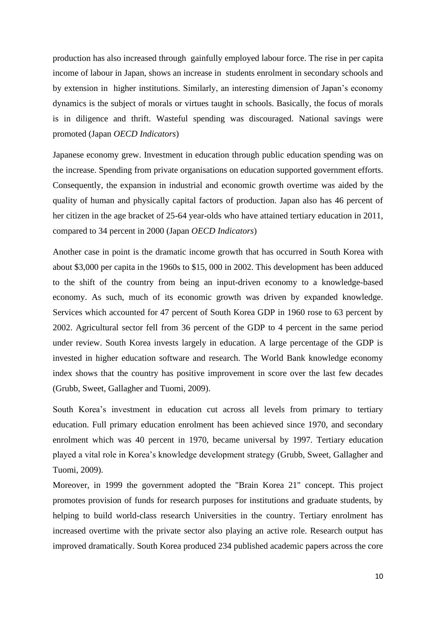production has also increased through gainfully employed labour force. The rise in per capita income of labour in Japan, shows an increase in students enrolment in secondary schools and by extension in higher institutions. Similarly, an interesting dimension of Japan's economy dynamics is the subject of morals or virtues taught in schools. Basically, the focus of morals is in diligence and thrift. Wasteful spending was discouraged. National savings were promoted (Japan *OECD Indicators*)

Japanese economy grew. Investment in education through public education spending was on the increase. Spending from private organisations on education supported government efforts. Consequently, the expansion in industrial and economic growth overtime was aided by the quality of human and physically capital factors of production. Japan also has 46 percent of her citizen in the age bracket of 25-64 year-olds who have attained tertiary education in 2011, compared to 34 percent in 2000 (Japan *OECD Indicators*)

Another case in point is the dramatic income growth that has occurred in South Korea with about \$3,000 per capita in the 1960s to \$15, 000 in 2002. This development has been adduced to the shift of the country from being an input-driven economy to a knowledge-based economy. As such, much of its economic growth was driven by expanded knowledge. Services which accounted for 47 percent of South Korea GDP in 1960 rose to 63 percent by 2002. Agricultural sector fell from 36 percent of the GDP to 4 percent in the same period under review. South Korea invests largely in education. A large percentage of the GDP is invested in higher education software and research. The World Bank knowledge economy index shows that the country has positive improvement in score over the last few decades (Grubb, Sweet, Gallagher and Tuomi, 2009).

South Korea's investment in education cut across all levels from primary to tertiary education. Full primary education enrolment has been achieved since 1970, and secondary enrolment which was 40 percent in 1970, became universal by 1997. Tertiary education played a vital role in Korea's knowledge development strategy (Grubb, Sweet, Gallagher and Tuomi, 2009).

Moreover, in 1999 the government adopted the "Brain Korea 21" concept. This project promotes provision of funds for research purposes for institutions and graduate students, by helping to build world-class research Universities in the country. Tertiary enrolment has increased overtime with the private sector also playing an active role. Research output has improved dramatically. South Korea produced 234 published academic papers across the core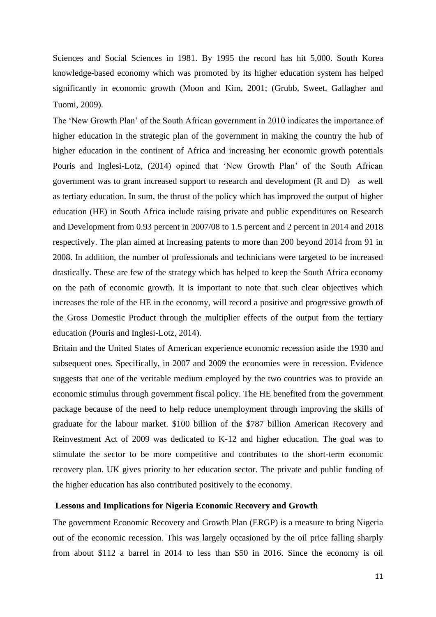Sciences and Social Sciences in 1981. By 1995 the record has hit 5,000. South Korea knowledge-based economy which was promoted by its higher education system has helped significantly in economic growth (Moon and Kim, 2001; (Grubb, Sweet, Gallagher and Tuomi, 2009).

The 'New Growth Plan' of the South African government in 2010 indicates the importance of higher education in the strategic plan of the government in making the country the hub of higher education in the continent of Africa and increasing her economic growth potentials Pouris and Inglesi-Lotz, (2014) opined that 'New Growth Plan' of the South African government was to grant increased support to research and development (R and D) as well as tertiary education. In sum, the thrust of the policy which has improved the output of higher education (HE) in South Africa include raising private and public expenditures on Research and Development from 0.93 percent in 2007/08 to 1.5 percent and 2 percent in 2014 and 2018 respectively. The plan aimed at increasing patents to more than 200 beyond 2014 from 91 in 2008. In addition, the number of professionals and technicians were targeted to be increased drastically. These are few of the strategy which has helped to keep the South Africa economy on the path of economic growth. It is important to note that such clear objectives which increases the role of the HE in the economy, will record a positive and progressive growth of the Gross Domestic Product through the multiplier effects of the output from the tertiary education (Pouris and Inglesi-Lotz, 2014).

Britain and the United States of American experience economic recession aside the 1930 and subsequent ones. Specifically, in 2007 and 2009 the economies were in recession. Evidence suggests that one of the veritable medium employed by the two countries was to provide an economic stimulus through government fiscal policy. The HE benefited from the government package because of the need to help reduce unemployment through improving the skills of graduate for the labour market. \$100 billion of the \$787 billion American Recovery and Reinvestment Act of 2009 was dedicated to K-12 and higher education. The goal was to stimulate the sector to be more competitive and contributes to the short-term economic recovery plan. UK gives priority to her education sector. The private and public funding of the higher education has also contributed positively to the economy.

# **Lessons and Implications for Nigeria Economic Recovery and Growth**

The government Economic Recovery and Growth Plan (ERGP) is a measure to bring Nigeria out of the economic recession. This was largely occasioned by the oil price falling sharply from about \$112 a barrel in 2014 to less than \$50 in 2016. Since the economy is oil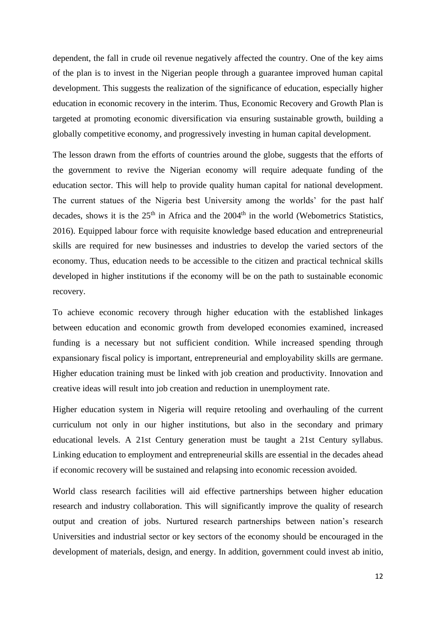dependent, the fall in crude oil revenue negatively affected the country. One of the key aims of the plan is to invest in the Nigerian people through a guarantee improved human capital development. This suggests the realization of the significance of education, especially higher education in economic recovery in the interim. Thus, Economic Recovery and Growth Plan is targeted at promoting economic diversification via ensuring sustainable growth, building a globally competitive economy, and progressively investing in human capital development.

The lesson drawn from the efforts of countries around the globe, suggests that the efforts of the government to revive the Nigerian economy will require adequate funding of the education sector. This will help to provide quality human capital for national development. The current statues of the Nigeria best University among the worlds' for the past half decades, shows it is the  $25<sup>th</sup>$  in Africa and the  $2004<sup>th</sup>$  in the world (Webometrics Statistics, 2016). Equipped labour force with requisite knowledge based education and entrepreneurial skills are required for new businesses and industries to develop the varied sectors of the economy. Thus, education needs to be accessible to the citizen and practical technical skills developed in higher institutions if the economy will be on the path to sustainable economic recovery.

To achieve economic recovery through higher education with the established linkages between education and economic growth from developed economies examined, increased funding is a necessary but not sufficient condition. While increased spending through expansionary fiscal policy is important, entrepreneurial and employability skills are germane. Higher education training must be linked with job creation and productivity. Innovation and creative ideas will result into job creation and reduction in unemployment rate.

Higher education system in Nigeria will require retooling and overhauling of the current curriculum not only in our higher institutions, but also in the secondary and primary educational levels. A 21st Century generation must be taught a 21st Century syllabus. Linking education to employment and entrepreneurial skills are essential in the decades ahead if economic recovery will be sustained and relapsing into economic recession avoided.

World class research facilities will aid effective partnerships between higher education research and industry collaboration. This will significantly improve the quality of research output and creation of jobs. Nurtured research partnerships between nation's research Universities and industrial sector or key sectors of the economy should be encouraged in the development of materials, design, and energy. In addition, government could invest ab initio,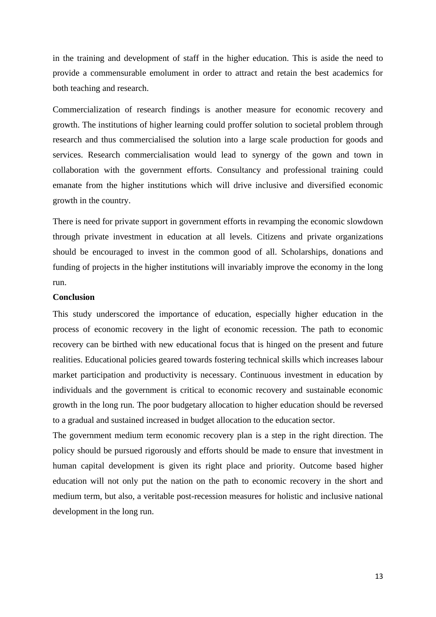in the training and development of staff in the higher education. This is aside the need to provide a commensurable emolument in order to attract and retain the best academics for both teaching and research.

Commercialization of research findings is another measure for economic recovery and growth. The institutions of higher learning could proffer solution to societal problem through research and thus commercialised the solution into a large scale production for goods and services. Research commercialisation would lead to synergy of the gown and town in collaboration with the government efforts. Consultancy and professional training could emanate from the higher institutions which will drive inclusive and diversified economic growth in the country.

There is need for private support in government efforts in revamping the economic slowdown through private investment in education at all levels. Citizens and private organizations should be encouraged to invest in the common good of all. Scholarships, donations and funding of projects in the higher institutions will invariably improve the economy in the long run.

# **Conclusion**

This study underscored the importance of education, especially higher education in the process of economic recovery in the light of economic recession. The path to economic recovery can be birthed with new educational focus that is hinged on the present and future realities. Educational policies geared towards fostering technical skills which increases labour market participation and productivity is necessary. Continuous investment in education by individuals and the government is critical to economic recovery and sustainable economic growth in the long run. The poor budgetary allocation to higher education should be reversed to a gradual and sustained increased in budget allocation to the education sector.

The government medium term economic recovery plan is a step in the right direction. The policy should be pursued rigorously and efforts should be made to ensure that investment in human capital development is given its right place and priority. Outcome based higher education will not only put the nation on the path to economic recovery in the short and medium term, but also, a veritable post-recession measures for holistic and inclusive national development in the long run.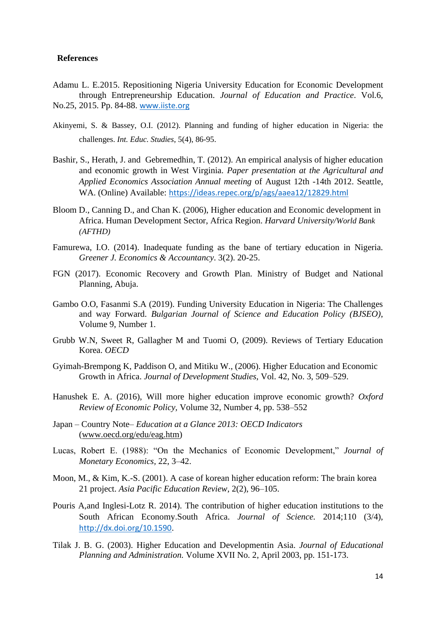# **References**

- Adamu L. E.2015. Repositioning Nigeria University Education for Economic Development through Entrepreneurship Education. *Journal of Education and Practice*. Vol.6, No.25, 2015. Pp. 84-88. [www.iiste.org](http://www.iiste.org/)
- Akinyemi, S. & Bassey, O.I. (2012). Planning and funding of higher education in Nigeria: the challenges. *Int. Educ. Studies*, 5(4), 86-95.
- Bashir, S., Herath, J. and Gebremedhin, T. (2012). An empirical analysis of higher education and economic growth in West Virginia. *Paper presentation at the Agricultural and Applied Economics Association Annual meeting* of August 12th -14th 2012. Seattle, WA. (Online) Available: <https://ideas.repec.org/p/ags/aaea12/12829.html>
- Bloom D., Canning D., and Chan K. (2006), Higher education and Economic development in Africa. Human Development Sector, Africa Region. *Harvard University/World Bank (AFTHD)*
- Famurewa, I.O. (2014). Inadequate funding as the bane of tertiary education in Nigeria. *Greener J. Economics & Accountancy*. 3(2). 20-25.
- FGN (2017). Economic Recovery and Growth Plan. Ministry of Budget and National Planning, Abuja.
- Gambo O.O, Fasanmi S.A (2019). Funding University Education in Nigeria: The Challenges and way Forward. *Bulgarian Journal of Science and Education Policy (BJSEO)*, Volume 9, Number 1.
- Grubb W.N, Sweet R, Gallagher M and Tuomi O, (2009). Reviews of Tertiary Education Korea. *OECD*
- Gyimah-Brempong K, Paddison O, and Mitiku W., (2006). Higher Education and Economic Growth in Africa. *Journal of Development Studies*, Vol. 42, No. 3, 509–529.
- Hanushek E. A. (2016), Will more higher education improve economic growth? *Oxford Review of Economic Policy,* Volume 32, Number 4, pp. 538–552
- Japan Country Note– *Education at a Glance 2013: OECD Indicators* (www.oecd.org/edu/eag.htm)
- Lucas, Robert E. (1988): "On the Mechanics of Economic Development," *Journal of Monetary Economics,* 22, 3–42.
- Moon, M., & Kim, K.-S. (2001). A case of korean higher education reform: The brain korea 21 project. *Asia Pacific Education Review,* 2(2), 96–105.
- Pouris A,and Inglesi-Lotz R. 2014). The contribution of higher education institutions to the South African Economy.South Africa. *Journal of Science.* 2014;110 (3/4), <http://dx.doi.org/10.1590>.
- Tilak J. B. G. (2003). Higher Education and Developmentin Asia. *Journal of Educational Planning and Administration.* Volume XVII No. 2, April 2003, pp. 151-173.